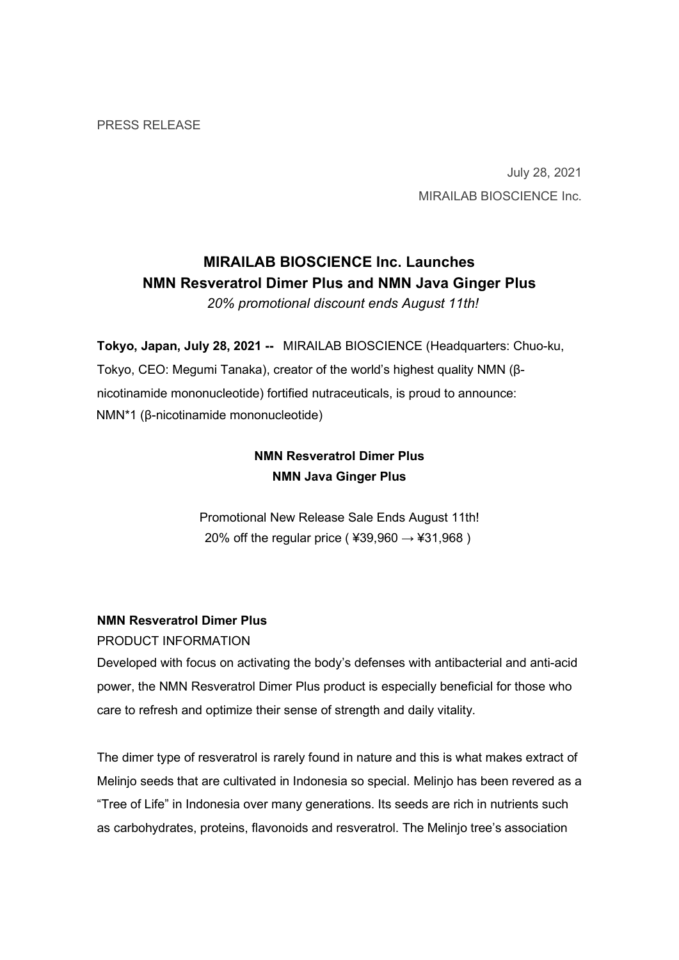PRESS RELEASE

July 28, 2021 MIRAILAB BIOSCIENCE Inc.

# MIRAILAB BIOSCIENCE Inc. Launches NMN Resveratrol Dimer Plus and NMN Java Ginger Plus

20% promotional discount ends August 11th!

Tokyo, Japan, July 28, 2021 -- MIRAILAB BIOSCIENCE (Headquarters: Chuo-ku, Tokyo, CEO: Megumi Tanaka), creator of the world's highest quality NMN (βnicotinamide mononucleotide) fortified nutraceuticals, is proud to announce: NMN\*1 (β-nicotinamide mononucleotide)

# NMN Resveratrol Dimer Plus NMN Java Ginger Plus

Promotional New Release Sale Ends August 11th! 20% off the regular price ( $439,960 \rightarrow 431,968$ )

# NMN Resveratrol Dimer Plus

PRODUCT INFORMATION

Developed with focus on activating the body's defenses with antibacterial and anti-acid power, the NMN Resveratrol Dimer Plus product is especially beneficial for those who care to refresh and optimize their sense of strength and daily vitality.

The dimer type of resveratrol is rarely found in nature and this is what makes extract of Melinjo seeds that are cultivated in Indonesia so special. Melinjo has been revered as a "Tree of Life" in Indonesia over many generations. Its seeds are rich in nutrients such as carbohydrates, proteins, flavonoids and resveratrol. The Melinjo tree's association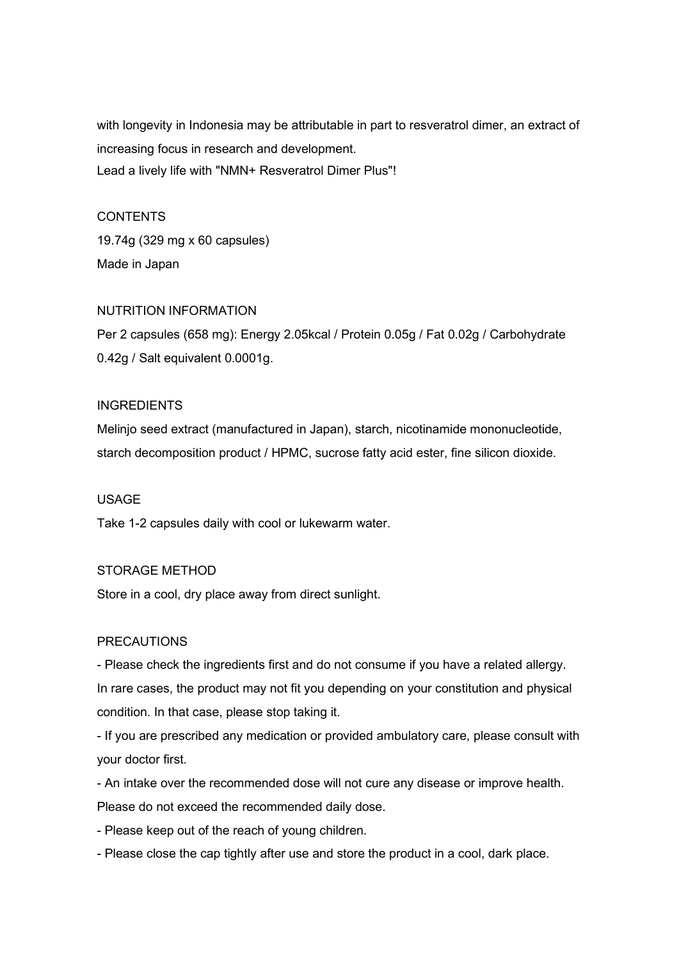with longevity in Indonesia may be attributable in part to resveratrol dimer, an extract of increasing focus in research and development. Lead a lively life with "NMN+ Resveratrol Dimer Plus"!

## **CONTENTS**

19.74g (329 mg x 60 capsules) Made in Japan

### NUTRITION INFORMATION

Per 2 capsules (658 mg): Energy 2.05kcal / Protein 0.05g / Fat 0.02g / Carbohydrate 0.42g / Salt equivalent 0.0001g.

# INGREDIENTS

Melinjo seed extract (manufactured in Japan), starch, nicotinamide mononucleotide, starch decomposition product / HPMC, sucrose fatty acid ester, fine silicon dioxide.

### USAGE

Take 1-2 capsules daily with cool or lukewarm water.

## STORAGE METHOD

Store in a cool, dry place away from direct sunlight.

### PRECAUTIONS

- Please check the ingredients first and do not consume if you have a related allergy. In rare cases, the product may not fit you depending on your constitution and physical condition. In that case, please stop taking it.

- If you are prescribed any medication or provided ambulatory care, please consult with your doctor first.

- An intake over the recommended dose will not cure any disease or improve health. Please do not exceed the recommended daily dose.

- Please keep out of the reach of young children.

- Please close the cap tightly after use and store the product in a cool, dark place.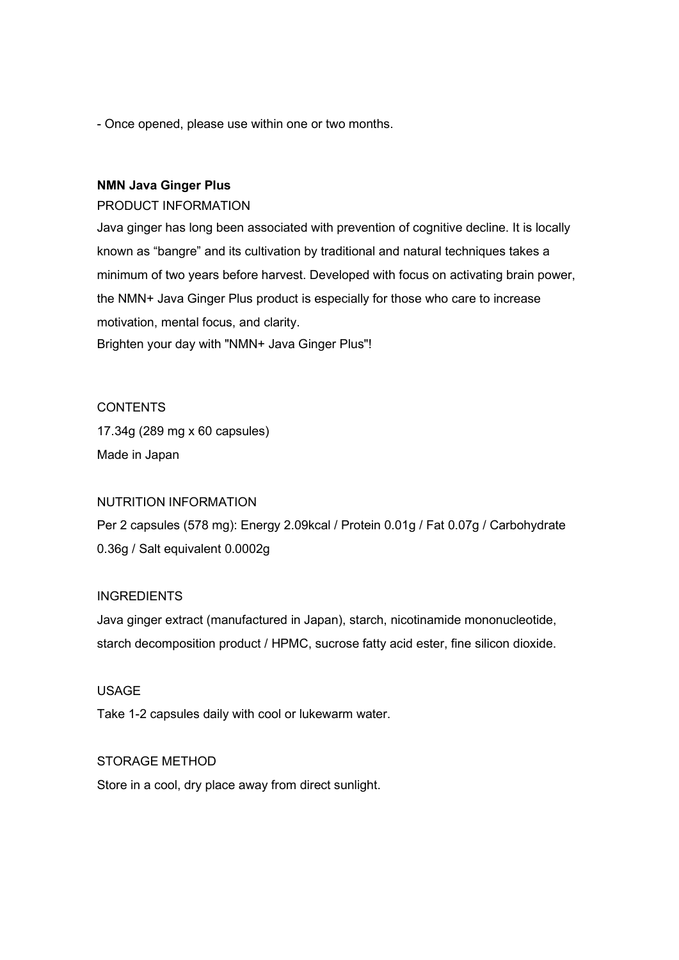- Once opened, please use within one or two months.

#### NMN Java Ginger Plus

#### PRODUCT INFORMATION

Java ginger has long been associated with prevention of cognitive decline. It is locally known as "bangre" and its cultivation by traditional and natural techniques takes a minimum of two years before harvest. Developed with focus on activating brain power, the NMN+ Java Ginger Plus product is especially for those who care to increase motivation, mental focus, and clarity. Brighten your day with "NMN+ Java Ginger Plus"!

### **CONTENTS**

17.34g (289 mg x 60 capsules) Made in Japan

#### NUTRITION INFORMATION

Per 2 capsules (578 mg): Energy 2.09kcal / Protein 0.01g / Fat 0.07g / Carbohydrate 0.36g / Salt equivalent 0.0002g

#### INGREDIENTS

Java ginger extract (manufactured in Japan), starch, nicotinamide mononucleotide, starch decomposition product / HPMC, sucrose fatty acid ester, fine silicon dioxide.

#### USAGE

Take 1-2 capsules daily with cool or lukewarm water.

#### STORAGE METHOD

Store in a cool, dry place away from direct sunlight.